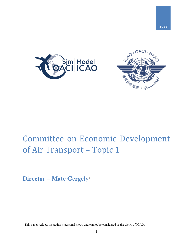



# Committee on Economic Development of Air Transport – Topic 1

**Director – Mate Gergely**<sup>1</sup>

<sup>&</sup>lt;sup>1</sup> This paper reflects the author's personal views and cannot be considered as the views of ICAO.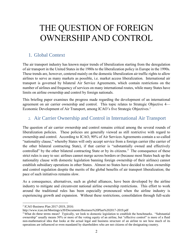# THE QUESTION OF FOREIGN OWNERSHIPAND CONTROL

## 1. Global Context

The air transport industry has known major trends of liberalization starting from the deregulation of air transport in the United States in the 1980s to the liberalization policy in Europe in the 1990s. These trends are, however, centered mainly on the domestic liberalization air traffic rights to allow airlines to serve as many markets as possible, i.e. market access liberalization. International air transport is governed by bilateral Air Service Agreements, which contain restrictions on the number of airlines and frequency of services on many international routes, while many States have limits on airline ownership and control by foreign nationals.

This briefing paper examines the progress made regarding the development of an international agreement on air carrier ownership and control. This topic relates to Strategic Objective 4— Economic Development of Air Transport, among ICAO's five Strategic Objectives.<sup>2</sup>

# 2. Air Carrier Ownership and Control in International Air Transport

The question of air carrier ownership and control remains critical among the several rounds of liberalization policies. These policies are generally viewed as still restrictive with regard to ownership and control. According to ICAO, 90% of Air Services Agreements contain a so-called "nationality clause," whereby States will only accept service from a foreign carrier (the carrier of the other bilateral contracting State), if that carrier is "substantially owned and effectively controlled" by the other bilateral contracting State or by its citizens.<sup>3</sup> The consequence of these strict rules is easy to see: airlines cannot merge across borders or (because most States back up the nationality clause with domestic legislation banning foreign ownership of their airlines) cannot establish subsidiary operations in other States. Almost no States have decided to relax ownership and control regulation despite the merits of the global benefits of air transport liberalization; the pace of such initiatives remains slow.

As a consequence, alternatives, such as global alliances, have been developed by the airline industry to mitigate and circumvent national airline ownership restrictions. This effort to work around the traditional rules has been especially pronounced when the airline industry is experiencing growth and expansion. Without these restrictions, consolidation through full-scale

 $\overline{a}$ 2 ICAO Business Plan 2017-2019, 2016:

http://www.icao.int/Meetings/a39/Documents/Business%20Plan%202017-2019.pdf

<sup>&</sup>lt;sup>3</sup> What do these terms mean? Typically, we look to domestic legislation to establish the benchmarks. "Substantial" ownership" usually means 50% or more of the voting equity of an airline, but "effective control" is more of a fluid non-mathematical idea that looks at the actual legal and business structure of an airline to see how much of its operations are influenced or even mandated by shareholders who are not citizens of the designating country.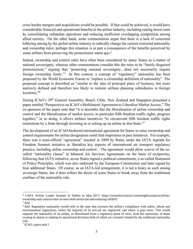cross border mergers and acquisitions would be possible. If that could be achieved, it would have considerable financial and operational benefits in the airline industry, including cutting down costs by consolidating redundant operations and reducing inefficient overlapping competition among allied carriers. On the other hand, some commentators argue that there is a lack of concerted lobbying among by the global airline industry to radically change the current restricted nationality and ownership rules; perhaps this situation is in part a consequence of the benefits perceived by some airlines from preserving the protectionist status quo.<sup>4</sup>

Indeed, ownership and control rules have often been considered by many States as a matter of national sovereignty, whereas other commentators consider this the rules to be "barely disguised protectionism," arguing that "protecting national sovereignty…does not necessarily require foreign ownership limits."<sup>5</sup> In that context, a concept of "regulatory" nationality has been proposed by the World Economic Forum to "replace a citizenship definition of nationality". The proposed concept is described as "similar to the idea of principal place of business, but more narrowly defined and therefore less likely to restrain airlines planning subsidiaries in foreign locations."<sup>6</sup>

During ICAO's 39th General Assembly, Brazil, Chile, New Zealand and Singapore presented a paper entitled "Perspectives on ICAO's Multilateral Agreement to Liberalize Market Access." The co-sponsors of the paper note that "it is desirable that the liberalisation of airline ownership and control and the liberalization of market access, in particular fifth freedom traffic rights, progress together;" in so doing, it allows airlines incentives "to circumvent fifth freedom traffic rights restrictions by a State through investing in or setting up an airline in that State."**<sup>7</sup>**

The development of an ICAO-brokered international agreement for States to relax ownership and control requirements for airline designation could find inspiration in past initiatives. For example, there was a semi-official "agreement" reached in 2009 by States under the IATA Agenda for Freedom Summit initiative to liberalize key aspects of international air transport regulatory practice, including airline ownership and control. The agreement would allow waiver of the socalled "nationality clause" in bilateral Air Services Agreements on the basis of reciprocity; following that IATA initiative, seven States signed a political commitment, a so-called Statement of Policy Principles, which was also endorsed by the European Commission and later signed by four additional States. Of course, as an IATA-led arrangement, it is not a treaty as such among sovereign States, but it does reflect the desire of some States to break away from the traditional confines of the nationality rule.

<sup>4</sup> CAPA Airline Leader Summit in Dublin in May-2017: https://centreforaviation.com/insights/analysis/airlineownership-and-control-rules-at-once-both-irrelevant-and-enduring-345816

<sup>5</sup> *Idid*.

<sup>&</sup>lt;sup>6</sup> *Idid*. Regulatory nationality would refer to the state that oversees the airline's compliance with safety, labour and environmental regulations, where the majority of its aircraft are registered, and where it pays taxes. This would separate the nationality of an airline, as determined from a regulatory point of view, from the nationality of those owning its shares or making its operational decisions both of which are currently limited by the traditional nationality rule.

<sup>7</sup> ICAO, *supra* note 1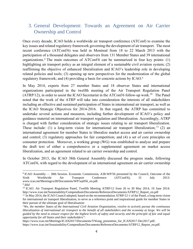# 3. General Development: Towards an Agreement on Air Carrier Ownership and Control

Once every decade, ICAO holds a worldwide air transport conference (ATConf) to examine the key issues and related regulatory framework governing the development of air transport. The most recent conference (ATConf/6) was held in Montreal from 18 to 22 March 2013 with the participation of a thousand delegates and observers from 131 Member States and 39 international organizations. <sup>8</sup> The main outcomes of ATConf/6 can be summarized in four key points: (1) highlighting air transport policy as an integral element of a sustainable civil aviation system; (2) reaffirming the objective of enhanced liberalization and ICAO's leadership role in developing related policies and tools; (3) opening up new perspectives for the modernization of the global regulatory framework; and (4) providing a basis for concrete actions by ICAO.<sup>9</sup>

In May 2014, experts from 27 member States and 18 observer States and international organizations participated in the twelfth meeting of the Air Transport Regulation Panel  $(ATRP/12)$ , in order to assist the ICAO Secretariat in the ATConf/6 follow-up work.<sup>10</sup> The Panel noted that the work of the ATRP will take into consideration the interests of all stakeholders including an effective and sustained participation of States in international air transport, as well as the ICAO Strategic Objectives for 2014-2016. In that regard, the ATRP has committed to undertake several actions and measures, including further development of ICAO's policy and guidance material on international air transport regulation and liberalization. Accordingly, ATRP is charged with further consideration of strategic issues relating to air transport liberalization. These include: (1) a long-term vision for international air transport liberalization; <sup>11</sup> (2) an international agreement for member States to liberalize market access and air carrier ownership and control; (3) regulatory approaches for fair competition; and (4) a set of core principles on consumer protection. Moreover, a working group (WG) was established to analyze and prepare the draft text of either a comprehensive or a supplemental agreement on market access liberalization, and an agreement related to air carrier ownership and control.

In October 2013, the ICAO 38th General Assembly discussed the progress made, following ATConf/6, with regard to the development of an international agreement on air carrier ownership

<sup>8</sup> ICAO Assembly — 38th Session. Economic Commission, A38-WP/56 presented by the Council, Outcome of the Sixth Worldwide Air Transport Conference (ATConf/6), 31 July 2013: www.icao.int/Meetings/a38/Documents/WP/wp056\_en.pdf.

<sup>9</sup> *Idid*

<sup>&</sup>lt;sup>10</sup> ICAO. Air Transport Regulation Panel, Twelfth Meeting ATRP/12 from 26 to 30 May 2014, 19 June 2014: http://www.icao.int/Sustainability/Compendium/Documents/ReferenceDocuments/ATRP12\_Report\_en.pdf

 $11$  In May 2014, the ICAO Council adopted, based on the recommendation ATRP/12-1 of the Panel, a long-term vision for international air transport liberalisation, to serve as a reference point and inspirational guide for member States in their pursuit of the ultimate goal of liberalisation:

<sup>&</sup>quot;*We, the member States of the International Civil Aviation Organization, resolve to actively pursue the continuous liberalization of international air transport to the benefit of all stakeholders and the economy at large. We will be guided by the need to ensure respect for the highest levels of safety and security and the principle of fair and equal opportunity for all States and their stakeholders*":

[https://www.icao.int/Meetings/ICAN2017/Documents/YWang\\_presention\\_for\\_ICAN2017.Dec2017.pdf;](https://www.icao.int/Meetings/ICAN2017/Documents/YWang_presention_for_ICAN2017.Dec2017.pdf) https://www.icao.int/Sustainability/Compendium/Documents/ReferenceDocuments/ATRP12\_Report\_en.pdf.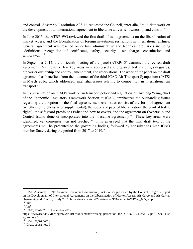and control. Assembly Resolution A38-14 requested the Council, inter alia, "to initiate work on the development of an international agreement to liberalize air carrier ownership and control."<sup>12</sup>

In June 2015, the ATRP-WG reviewed the first draft of two agreements on the liberalization of market access, and the liberalization of foreign investment restrictions in international airlines. General agreement was reached on certain administrative and technical provisions including "definitions, recognition of certificates, safety, security, user charges consultation and withdrawal."<sup>13</sup>

In September 2015, the thirteenth meeting of the panel (ATRP/13) examined the revised draft agreement. Draft texts on five key areas were addressed and prepared: traffic rights, safeguards, air carrier ownership and control, amendment, and reservations. The work of the panel on the draft agreement has benefited from the outcomes of the third ICAO Air Transport Symposium (IATS) in March 2016, which addressed, inter alia, issues relating to competition in international air transport. $^{14}$ 

In his presentation on ICAO's work on air transport policy and regulation, Yuanzheng Wang, chief of the Economic Regulatory Framework Section at ICAO, emphasizes the outstanding issues regarding the adoption of the final agreements; these issues consist of the form of agreement (whether comprehensive or supplemental), the scope and pace of liberalization (the grant of traffic rights), the safeguard provisions (what and how to cover), and the agreement on Ownership and Control (stand-alone or incorporated into the baseline agreement).<sup>15</sup> These key areas were identified, yet consensus was not reached.<sup>16</sup> It is envisaged that the final draft text of the agreements will be presented to the governing bodies, followed by consultations with ICAO member States, during the period from 2017 to 2019.<sup>17</sup>

<sup>&</sup>lt;sup>12</sup> ICAO Assembly —39th Session, Economic Commission, A39-WP/5, presented by the Council, Progress Report on the Development of International Agreements on the Liberalization of Market Access, Air Cargo and Air Carrier Ownership and Control, 5 July 2016: https://www.icao.int/Meetings/a39/Documents/WP/wp\_005\_en.pdf <sup>13</sup> *Idid.*

<sup>14</sup> *Idid.*

<sup>15</sup> ICAO, ICAN 2017, December 2017:

[https://www.icao.int/Meetings/ICAN2017/Documents/YWang\\_presention\\_for\\_ICAN2017.Dec2017.pdf;](https://www.icao.int/Meetings/ICAN2017/Documents/YWang_presention_for_ICAN2017.Dec2017.pdf) See also *supra* note 6.

<sup>16</sup> ICAO, s*upra* note 6.

<sup>17</sup> ICAO, s*upra* note 9.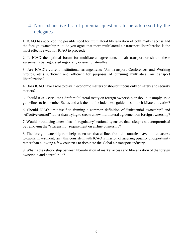# 4. Non-exhaustive list of potential questions to be addressed by the delegates

1. ICAO has accepted the possible need for multilateral liberalization of both market access and the foreign ownership rule: do you agree that more multilateral air transport liberalization is the most effective way for ICAO to proceed?

2. Is ICAO the optimal forum for multilateral agreements on air transport or should these agreements be negotiated regionally or even bilaterally?

3. Are ICAO's current institutional arrangements (Air Transport Conferences and Working Groups, etc.) sufficient and efficient for purposes of pursuing multilateral air transport liberalization?

4. Does ICAO have a role to play in economic matters or should it focus only on safety and security matters?

5. Should ICAO circulate a draft multilateral treaty on foreign ownership or should it simply issue guidelines to its member States and ask them to include these guidelines in their bilateral treaties?

6. Should ICAO limit itself to framing a common definition of "substantial ownership" and "effective control" rather than trying to create a new multilateral agreement on foreign ownership?

7. Would introducing a new idea of "regulatory" nationality ensure that safety is not compromised by removing the "citizenship" requirement on airline ownership?

8. The foreign ownership rule helps to ensure that airlines from all countries have limited access to capital investment; isn't this consistent with ICAO's mission of assuring equality of opportunity rather than allowing a few countries to dominate the global air transport industry?

9. What is the relationship between liberalization of market access and liberalization of the foreign ownership and control rule?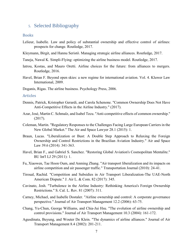## 5. Selected Bibliography

### Books

- Lelieur, Isabelle. Law and policy of substantial ownership and effective control of airlines: prospects for change. Routledge, 2017.
- Kleymann, Birgit, and Hannu Seristö. Managing strategic airline alliances. Routledge, 2017.
- Taneja, Nawal K. Simpli-Flying: optimizing the airline business model. Routledge, 2017.
- Iatrou, Kostas, and Mauro Oretti. Airline choices for the future: from alliances to mergers. Routledge, 2016.
- Havel, Brian F. Beyond open skies: a new regime for international aviation. Vol. 4. Kluwer Law International, 2009.
- Doganis, Rigas. The airline business. Psychology Press, 2006.

#### **Articles**

- Dennis, Patrick, Kristopher Gerardi, and Carola Schenone. "Common Ownership Does Not Have Anti-Competitive Effects in the Airline Industry." (2017).
- Azar, José, Martin C. Schmalz, and Isabel Tecu. "Anti-competitive effects of common ownership." (2017).
- Coleman, Martin. "Regulatory Responses to the Challenges Facing Large European Carriers in the New Global Market." The Air and Space Lawyer 28.1 (2015): 1.
- Braun, Lucas. "Liberalization or Bust: A Double Step Approach to Relaxing the Foreign Ownership and Control Restrictions in the Brazilian Aviation Industry." Air and Space Law 39.6 (2014): 341-363.
- Havel, Brian F., and Gabriel S. Sanchez. "Restoring Global Aviation's Cosmopolitan Mentalite." BU Int'l LJ 29 (2011): 1.
- Fu, Xiaowen, Tae Hoon Oum, and Anming Zhang. "Air transport liberalization and its impacts on airline competition and air passenger traffic." Transportation Journal (2010): 24-41.
- Tiroual, Rachid. "Competition and Subsidies in Air Transport Liberalization-The UAE-North American Dispute." J. Air L. & Com. 82 (2017): 345.
- Cavinato, Josh. "Turbulence in the Airline Industry: Rethinking America's Foreign Ownership Restrictions." S. Cal. L. Rev. 81 (2007): 311.
- Carney, Michael, and Isabelle Dostaler. "Airline ownership and control: A corporate governance perspective." Journal of Air Transport Management 12.2 (2006): 63-75.
- Chang, Yu-Chun, George Williams, and Chia-Jui Hsu. "The evolution of airline ownership and control provisions." Journal of Air Transport Management 10.3 (2004): 161-172.
- Agusdinata, Buyung, and Wouter De Klein. "The dynamics of airline alliances." Journal of Air Transport Management 8.4 (2002): 201-211.